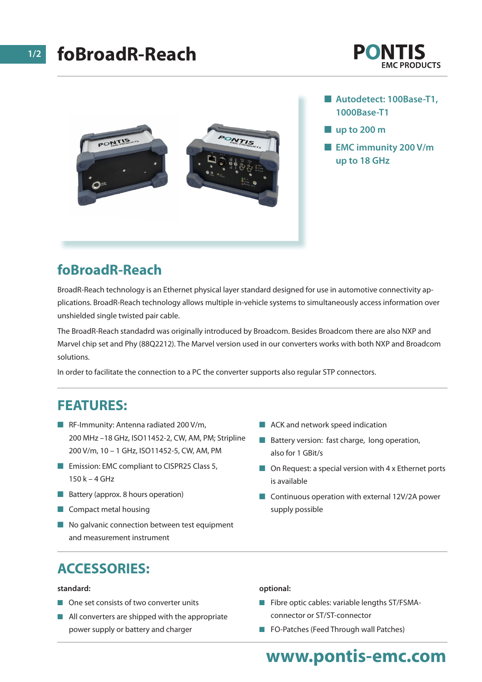# **foBroadR-Reach**





- Autodetect: 100Base-T1, **1000Base-T1**
- n **up to 200 m**
- **EMC immunity 200 V/m up to 18 GHz**

## **foBroadR-Reach**

BroadR-Reach technology is an Ethernet physical layer standard designed for use in automotive connectivity applications. BroadR-Reach technology allows multiple in-vehicle systems to simultaneously access information over unshielded single twisted pair cable.

The BroadR-Reach standadrd was originally introduced by Broadcom. Besides Broadcom there are also NXP and Marvel chip set and Phy (88Q2212). The Marvel version used in our converters works with both NXP and Broadcom solutions.

In order to facilitate the connection to a PC the converter supports also regular STP connectors.

### **FEATURES:**

- **n** RF-Immunity: Antenna radiated 200 V/m, 200 MHz –18 GHz, ISO11452-2, CW, AM, PM; Stripline 200 V/m, 10 – 1 GHz, ISO11452-5, CW, AM, PM
- Emission: EMC compliant to CISPR25 Class 5, 150 k – 4 GHz
- **n** Battery (approx. 8 hours operation)
- $\blacksquare$  Compact metal housing
- $\blacksquare$  No galvanic connection between test equipment and measurement instrument
- $\blacksquare$  ACK and network speed indication
- $\blacksquare$  Battery version: fast charge, long operation, also for 1 GBit/s
- $\Box$  On Request: a special version with 4 x Ethernet ports is available
- $\Box$  Continuous operation with external 12V/2A power supply possible

## **ACCESSORIES:**

#### **standard:**

- $\blacksquare$  One set consists of two converter units
- $\blacksquare$  All converters are shipped with the appropriate power supply or battery and charger

#### **optional:**

- $\blacksquare$  Fibre optic cables: variable lengths ST/FSMAconnector or ST/ST-connector
- **n** FO-Patches (Feed Through wall Patches)

## **www.pontis-emc.com**